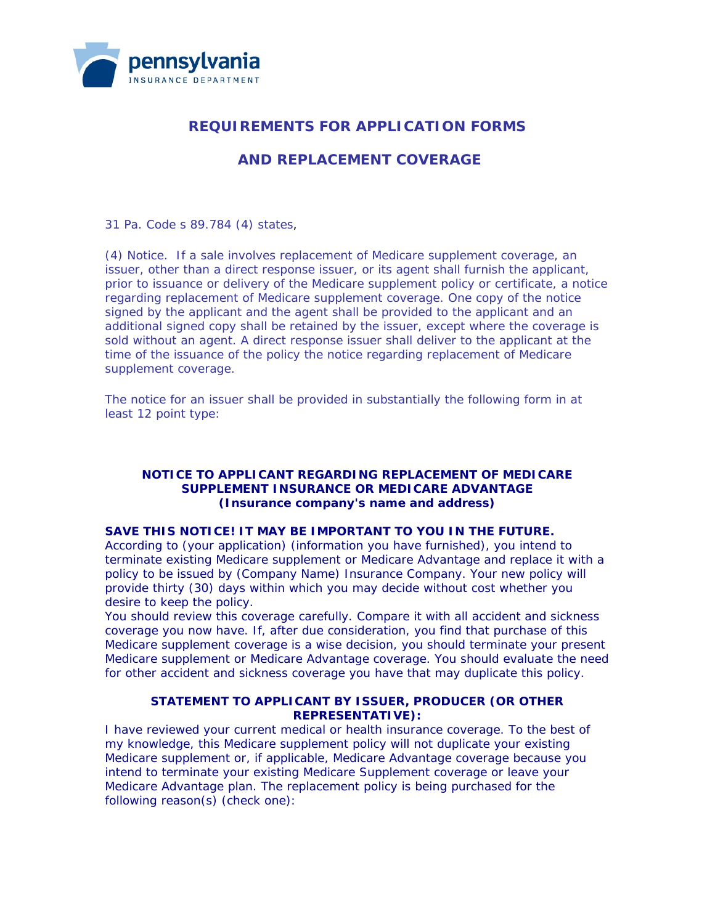

# **REQUIREMENTS FOR APPLICATION FORMS**

## **AND REPLACEMENT COVERAGE**

31 Pa. Code s 89.784 (4) states,

(4) *Notice*. If a sale involves replacement of Medicare supplement coverage, an issuer, other than a direct response issuer, or its agent shall furnish the applicant, prior to issuance or delivery of the Medicare supplement policy or certificate, a notice regarding replacement of Medicare supplement coverage. One copy of the notice signed by the applicant and the agent shall be provided to the applicant and an additional signed copy shall be retained by the issuer, except where the coverage is sold without an agent. A direct response issuer shall deliver to the applicant at the time of the issuance of the policy the notice regarding replacement of Medicare supplement coverage.

The notice for an issuer shall be provided in substantially the following form in at least 12 point type:

### **NOTICE TO APPLICANT REGARDING REPLACEMENT OF MEDICARE SUPPLEMENT INSURANCE OR MEDICARE ADVANTAGE (Insurance company's name and address)**

#### **SAVE THIS NOTICE! IT MAY BE IMPORTANT TO YOU IN THE FUTURE.**

According to (your application) (information you have furnished), you intend to terminate existing Medicare supplement or Medicare Advantage and replace it with a policy to be issued by (Company Name) Insurance Company. Your new policy will provide thirty (30) days within which you may decide without cost whether you desire to keep the policy.

You should review this coverage carefully. Compare it with all accident and sickness coverage you now have. If, after due consideration, you find that purchase of this Medicare supplement coverage is a wise decision, you should terminate your present Medicare supplement or Medicare Advantage coverage. You should evaluate the need for other accident and sickness coverage you have that may duplicate this policy.

### **STATEMENT TO APPLICANT BY ISSUER, PRODUCER (OR OTHER REPRESENTATIVE):**

I have reviewed your current medical or health insurance coverage. To the best of my knowledge, this Medicare supplement policy will not duplicate your existing Medicare supplement or, if applicable, Medicare Advantage coverage because you intend to terminate your existing Medicare Supplement coverage or leave your Medicare Advantage plan. The replacement policy is being purchased for the following reason(s) (check one):